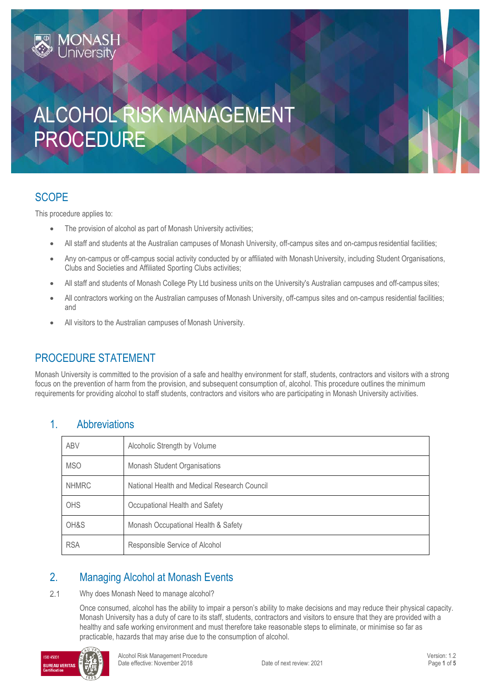# ALCOHOL RISK MANAGEMENT PROCEDURE

### **SCOPE**

This procedure applies to:

**MONASH**<br>University

- The provision of alcohol as part of Monash University activities;
- All staff and students at the Australian campuses of Monash University, off-campus sites and on-campus residential facilities;
- Any on-campus or off-campus social activity conducted by or affiliated with Monash University, including Student Organisations, Clubs and Societies and Affiliated Sporting Clubs activities;
- All staff and students of Monash College Pty Ltd business units on the University's Australian campuses and off-campus sites;
- All contractors working on the Australian campuses of Monash University, off-campus sites and on-campus residential facilities; and
- All visitors to the Australian campuses of Monash University.

## PROCEDURE STATEMENT

Monash University is committed to the provision of a safe and healthy environment for staff, students, contractors and visitors with a strong focus on the prevention of harm from the provision, and subsequent consumption of, alcohol. This procedure outlines the minimum requirements for providing alcohol to staff students, contractors and visitors who are participating in Monash University activities.

### 1. Abbreviations

| <b>ABV</b>   | Alcoholic Strength by Volume                 |  |
|--------------|----------------------------------------------|--|
| <b>MSO</b>   | Monash Student Organisations                 |  |
| <b>NHMRC</b> | National Health and Medical Research Council |  |
| <b>OHS</b>   | Occupational Health and Safety               |  |
| OH&S         | Monash Occupational Health & Safety          |  |
| <b>RSA</b>   | Responsible Service of Alcohol               |  |

### 2. Managing Alcohol at Monash Events

### $2.1$ Why does Monash Need to manage alcohol?

Once consumed, alcohol has the ability to impair a person's ability to make decisions and may reduce their physical capacity. Monash University has a duty of care to its staff, students, contractors and visitors to ensure that they are provided with a healthy and safe working environment and must therefore take reasonable steps to eliminate, or minimise so far as practicable, hazards that may arise due to the consumption of alcohol.

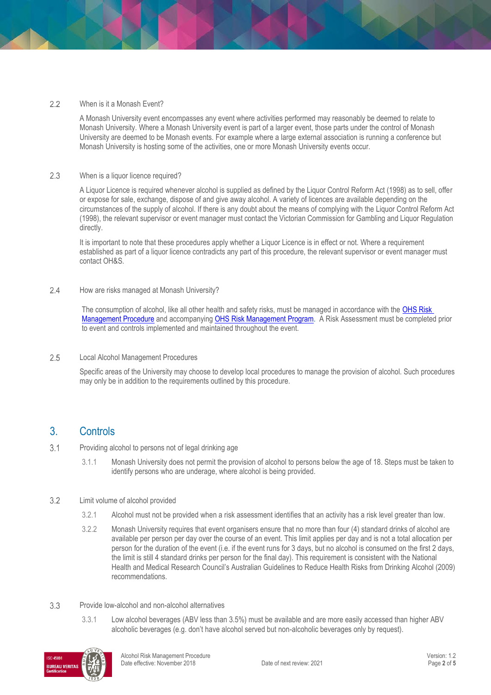### $2.2$ When is it a Monash Event?

A Monash University event encompasses any event where activities performed may reasonably be deemed to relate to Monash University. Where a Monash University event is part of a larger event, those parts under the control of Monash University are deemed to be Monash events. For example where a large external association is running a conference but Monash University is hosting some of the activities, one or more Monash University events occur.

### 2.3 When is a liquor licence required?

A Liquor Licence is required whenever alcohol is supplied as defined by the Liquor Control Reform Act (1998) as to sell, offer or expose for sale, exchange, dispose of and give away alcohol. A variety of licences are available depending on the circumstances of the supply of alcohol. If there is any doubt about the means of complying with the Liquor Control Reform Act (1998), the relevant supervisor or event manager must contact the Victorian Commission for Gambling and Liquor Regulation directly.

It is important to note that these procedures apply whether a Liquor Licence is in effect or not. Where a requirement established as part of a liquor licence contradicts any part of this procedure, the relevant supervisor or event manager must contact OH&S.

### $2.4$ How are risks managed at Monash University?

The consumption of alcohol, like all other health and safety risks, must be managed in accordance with the OHS Risk [Management Procedure](https://publicpolicydms.monash.edu/Monash/documents/1935636) and accompanying [OHS Risk Management Program.](https://www.monash.edu/ohs/info-docs/risk-management-and-work-safe-instructions) A Risk Assessment must be completed prior to event and controls implemented and maintained throughout the event.

### 2.5 Local Alcohol Management Procedures

Specific areas of the University may choose to develop local procedures to manage the provision of alcohol. Such procedures may only be in addition to the requirements outlined by this procedure.

### 3. Controls

#### $3.1$ Providing alcohol to persons not of legal drinking age

3.1.1 Monash University does not permit the provision of alcohol to persons below the age of 18. Steps must be taken to identify persons who are underage, where alcohol is being provided.

### $3.2$ Limit volume of alcohol provided

- 3.2.1 Alcohol must not be provided when a risk assessment identifies that an activity has a risk level greater than low.
- 3.2.2 Monash University requires that event organisers ensure that no more than four (4) standard drinks of alcohol are available per person per day over the course of an event. This limit applies per day and is not a total allocation per person for the duration of the event (i.e. if the event runs for 3 days, but no alcohol is consumed on the first 2 days, the limit is still 4 standard drinks per person for the final day). This requirement is consistent with the National Health and Medical Research Council's Australian Guidelines to Reduce Health Risks from Drinking Alcohol (2009) recommendations.
- 3.3 Provide low-alcohol and non-alcohol alternatives
	- 3.3.1 Low alcohol beverages (ABV less than 3.5%) must be available and are more easily accessed than higher ABV alcoholic beverages (e.g. don't have alcohol served but non-alcoholic beverages only by request).

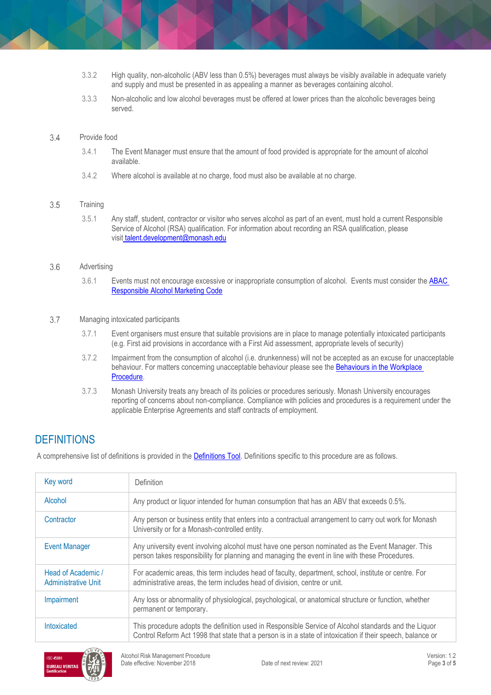- 3.3.2 High quality, non-alcoholic (ABV less than 0.5%) beverages must always be visibly available in adequate variety and supply and must be presented in as appealing a manner as beverages containing alcohol.
- 3.3.3 Non-alcoholic and low alcohol beverages must be offered at lower prices than the alcoholic beverages being served.

#### 3.4 Provide food

- 3.4.1 The Event Manager must ensure that the amount of food provided is appropriate for the amount of alcohol available.
- 3.4.2 Where alcohol is available at no charge, food must also be available at no charge.

#### 3.5 **Training**

3.5.1 Any staff, student, contractor or visitor who serves alcohol as part of an event, must hold a current Responsible Service of Alcohol (RSA) qualification. For information about recording an RSA qualification, please visit [talent.development@monash.edu](mailto:talent.development@monash.edu)

#### 3.6 Advertising

3.6.1 Events must not encourage excessive or inappropriate consumption of alcohol. Events must consider the **ABAC** [Responsible Alcohol Marketing Code](http://www.abac.org.au/wp-content/uploads/2017/07/ABAC_CodeofConduct_2017_web.pdf)

#### 3.7 Managing intoxicated participants

- 3.7.1 Event organisers must ensure that suitable provisions are in place to manage potentially intoxicated participants (e.g. First aid provisions in accordance with a First Aid assessment, appropriate levels of security)
- 3.7.2 Impairment from the consumption of alcohol (i.e. drunkenness) will not be accepted as an excuse for unacceptable behaviour. For matters concerning unacceptable behaviour please see the Behaviours in the Workplace [Procedure.](https://publicpolicydms.monash.edu/Monash/documents/1935660)
- 3.7.3 Monash University treats any breach of its policies or procedures seriously. Monash University encourages reporting of concerns about non-compliance. Compliance with policies and procedures is a requirement under the applicable Enterprise Agreements and staff contracts of employment.

### **DEFINITIONS**

A comprehensive list of definitions is provided in the [Definitions Tool.](http://www.monash.edu/__data/assets/pdf_file/0018/113742/ohs-document-definitions.pdf) Definitions specific to this procedure are as follows.

| Key word                                         | <b>Definition</b>                                                                                                                                                                                                  |  |
|--------------------------------------------------|--------------------------------------------------------------------------------------------------------------------------------------------------------------------------------------------------------------------|--|
| Alcohol                                          | Any product or liquor intended for human consumption that has an ABV that exceeds 0.5%.                                                                                                                            |  |
| Contractor                                       | Any person or business entity that enters into a contractual arrangement to carry out work for Monash<br>University or for a Monash-controlled entity.                                                             |  |
| <b>Event Manager</b>                             | Any university event involving alcohol must have one person nominated as the Event Manager. This<br>person takes responsibility for planning and managing the event in line with these Procedures.                 |  |
| Head of Academic /<br><b>Administrative Unit</b> | For academic areas, this term includes head of faculty, department, school, institute or centre. For<br>administrative areas, the term includes head of division, centre or unit.                                  |  |
| Impairment                                       | Any loss or abnormality of physiological, psychological, or anatomical structure or function, whether<br>permanent or temporary.                                                                                   |  |
| Intoxicated                                      | This procedure adopts the definition used in Responsible Service of Alcohol standards and the Liquor<br>Control Reform Act 1998 that state that a person is in a state of intoxication if their speech, balance or |  |

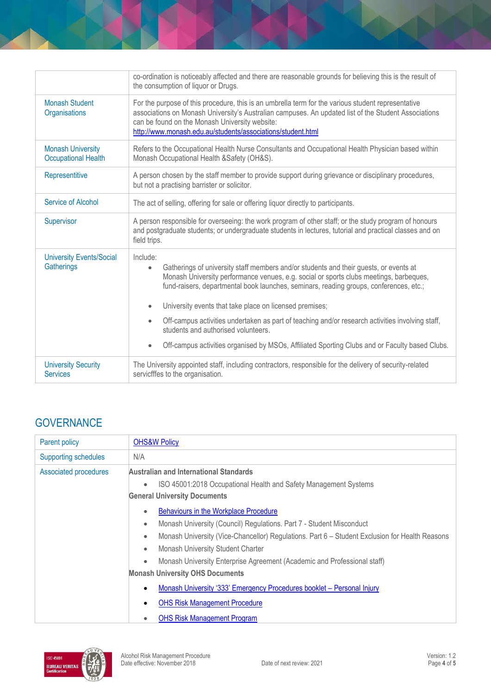|                                                        | co-ordination is noticeably affected and there are reasonable grounds for believing this is the result of<br>the consumption of liquor or Drugs.                                                                                                                                                                                                              |  |  |
|--------------------------------------------------------|---------------------------------------------------------------------------------------------------------------------------------------------------------------------------------------------------------------------------------------------------------------------------------------------------------------------------------------------------------------|--|--|
| <b>Monash Student</b><br>Organisations                 | For the purpose of this procedure, this is an umbrella term for the various student representative<br>associations on Monash University's Australian campuses. An updated list of the Student Associations<br>can be found on the Monash University website:<br>http://www.monash.edu.au/students/associations/student.html                                   |  |  |
| <b>Monash University</b><br><b>Occupational Health</b> | Refers to the Occupational Health Nurse Consultants and Occupational Health Physician based within<br>Monash Occupational Health & Safety (OH&S).                                                                                                                                                                                                             |  |  |
| Representitive                                         | A person chosen by the staff member to provide support during grievance or disciplinary procedures,<br>but not a practising barrister or solicitor.                                                                                                                                                                                                           |  |  |
| <b>Service of Alcohol</b>                              | The act of selling, offering for sale or offering liquor directly to participants.                                                                                                                                                                                                                                                                            |  |  |
| Supervisor                                             | A person responsible for overseeing: the work program of other staff; or the study program of honours<br>and postgraduate students; or undergraduate students in lectures, tutorial and practical classes and on<br>field trips.                                                                                                                              |  |  |
| <b>University Events/Social</b><br>Gatherings          | Include:<br>Gatherings of university staff members and/or students and their guests, or events at<br>$\bullet$<br>Monash University performance venues, e.g. social or sports clubs meetings, barbeques,<br>fund-raisers, departmental book launches, seminars, reading groups, conferences, etc.;<br>University events that take place on licensed premises; |  |  |
|                                                        | Off-campus activities undertaken as part of teaching and/or research activities involving staff,<br>$\bullet$<br>students and authorised volunteers.                                                                                                                                                                                                          |  |  |
|                                                        | Off-campus activities organised by MSOs, Affiliated Sporting Clubs and or Faculty based Clubs.<br>$\bullet$                                                                                                                                                                                                                                                   |  |  |
| <b>University Security</b><br><b>Services</b>          | The University appointed staff, including contractors, responsible for the delivery of security-related<br>servicfffes to the organisation.                                                                                                                                                                                                                   |  |  |

# **GOVERNANCE**

| Parent policy                | <b>OHS&amp;W Policy</b>                                                                                     |  |
|------------------------------|-------------------------------------------------------------------------------------------------------------|--|
| <b>Supporting schedules</b>  | N/A                                                                                                         |  |
| <b>Associated procedures</b> | Australian and International Standards                                                                      |  |
|                              | ISO 45001:2018 Occupational Health and Safety Management Systems<br>$\bullet$                               |  |
|                              | <b>General University Documents</b>                                                                         |  |
|                              | Behaviours in the Workplace Procedure<br>$\bullet$                                                          |  |
|                              | Monash University (Council) Regulations. Part 7 - Student Misconduct<br>$\bullet$                           |  |
|                              | Monash University (Vice-Chancellor) Regulations. Part 6 - Student Exclusion for Health Reasons<br>$\bullet$ |  |
|                              | Monash University Student Charter<br>$\bullet$                                                              |  |
|                              | Monash University Enterprise Agreement (Academic and Professional staff)<br>$\bullet$                       |  |
|                              | <b>Monash University OHS Documents</b>                                                                      |  |
|                              | Monash University '333' Emergency Procedures booklet - Personal Injury<br>$\bullet$                         |  |
|                              | <b>OHS Risk Management Procedure</b>                                                                        |  |
|                              | <b>OHS Risk Management Program</b><br>$\bullet$                                                             |  |